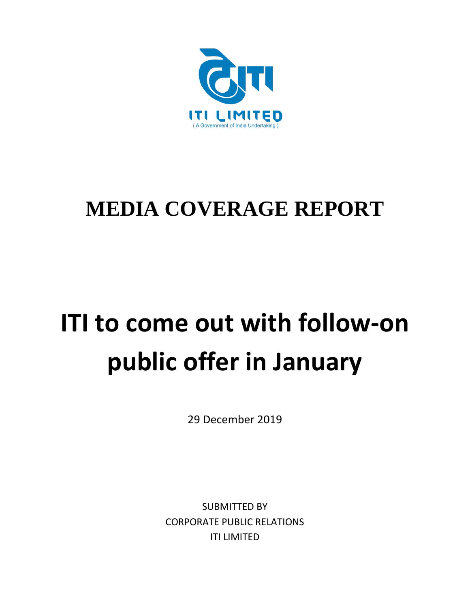

### **MEDIA COVERAGE REPORT**

# **ITI to come out with follow-on public offer in January**

29 December 2019

SUBMITTED BY CORPORATE PUBLIC RELATIONS ITI LIMITED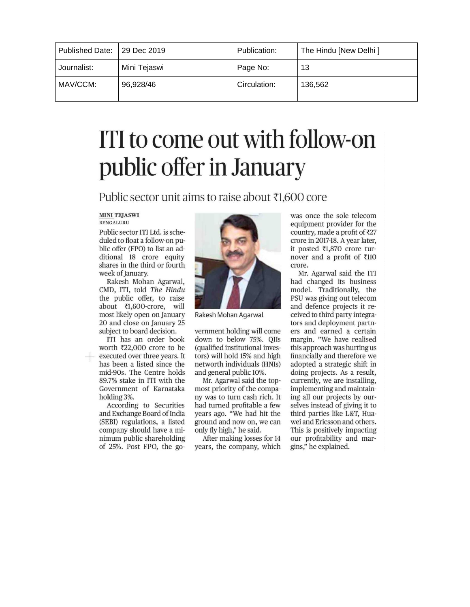| Published Date:   29 Dec 2019 |              | Publication: | The Hindu [New Delhi ] |
|-------------------------------|--------------|--------------|------------------------|
| Journalist:                   | Mini Tejaswi | Page No:     | 13                     |
| MAV/CCM:                      | 96,928/46    | Circulation: | 136.562                |

## ITI to come out with follow-on public offer in January

Public sector unit aims to raise about ₹1.600 core

#### **MINI TEJASWI BENGALURU**

Public sector ITI Ltd. is scheduled to float a follow-on public offer (FPO) to list an additional 18 crore equity shares in the third or fourth week of January.

Rakesh Mohan Agarwal, CMD, ITI, told The Hindu the public offer, to raise about ₹1,600-crore, will most likely open on January 20 and close on January 25 subject to board decision.

ITI has an order book worth ₹22,000 crore to be executed over three years. It has been a listed since the mid-90s. The Centre holds 89.7% stake in ITI with the Government of Karnataka holding 3%.

According to Securities and Exchange Board of India (SEBI) regulations, a listed company should have a minimum public shareholding of 25%. Post FPO, the go-



Rakesh Mohan Agarwal

vernment holding will come down to below 75%. QIIs (qualified institutional investors) will hold 15% and high networth individuals (HNIs) and general public 10%.

Mr. Agarwal said the topmost priority of the company was to turn cash rich. It had turned profitable a few years ago. "We had hit the ground and now on, we can only fly high," he said.

After making losses for 14 years, the company, which

was once the sole telecom equipment provider for the country, made a profit of ₹27 crore in 2017-18. A year later, it posted ₹1,870 crore turnover and a profit of ₹110 crore.

Mr. Agarwal said the ITI had changed its business model. Traditionally, the PSU was giving out telecom and defence projects it received to third party integrators and deployment partners and earned a certain margin. "We have realised this approach was hurting us financially and therefore we adopted a strategic shift in doing projects. As a result, currently, we are installing, implementing and maintaining all our projects by ourselves instead of giving it to third parties like L&T, Huawei and Ericsson and others. This is positively impacting our profitability and margins," he explained.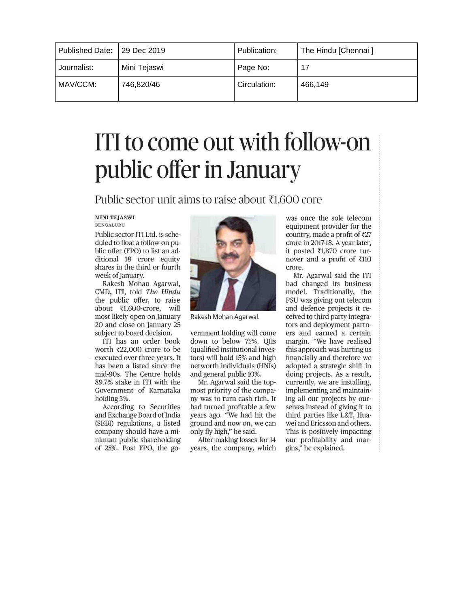| Published Date:   29 Dec 2019 |              | Publication: | The Hindu [Chennai] |
|-------------------------------|--------------|--------------|---------------------|
| Journalist:                   | Mini Tejaswi | Page No:     | 17                  |
| MAV/CCM:                      | 746,820/46   | Circulation: | 466.149             |

## ITI to come out with follow-on public offer in January

Public sector unit aims to raise about  $\bar{x}1.600$  core

#### **MINI TEJASWI BENGALURU**

Public sector ITI Ltd. is scheduled to float a follow-on public offer (FPO) to list an additional 18 crore equity shares in the third or fourth week of January.

Rakesh Mohan Agarwal, CMD, ITI, told The Hindu the public offer, to raise about ₹1,600-crore, will most likely open on January 20 and close on January 25 subject to board decision.

ITI has an order book worth ₹22,000 crore to be executed over three years. It has been a listed since the mid-90s. The Centre holds 89.7% stake in ITI with the Government of Karnataka holding 3%.

According to Securities and Exchange Board of India (SEBI) regulations, a listed company should have a minimum public shareholding of 25%. Post FPO, the go-



Rakesh Mohan Agarwal

vernment holding will come down to below 75%. QIIs (qualified institutional investors) will hold 15% and high networth individuals (HNIs) and general public 10%.

Mr. Agarwal said the topmost priority of the company was to turn cash rich. It had turned profitable a few years ago. "We had hit the ground and now on, we can only fly high," he said.

After making losses for 14 years, the company, which was once the sole telecom equipment provider for the country, made a profit of  $\bar{\tau}27$ crore in 2017-18. A year later, it posted ₹1,870 crore turnover and a profit of ₹110 crore.

Mr. Agarwal said the ITI had changed its business model. Traditionally, the PSU was giving out telecom and defence projects it received to third party integrators and deployment partners and earned a certain margin. "We have realised this approach was hurting us financially and therefore we adopted a strategic shift in doing projects. As a result, currently, we are installing, implementing and maintaining all our projects by ourselves instead of giving it to third parties like L&T, Huawei and Ericsson and others. This is positively impacting our profitability and margins," he explained.